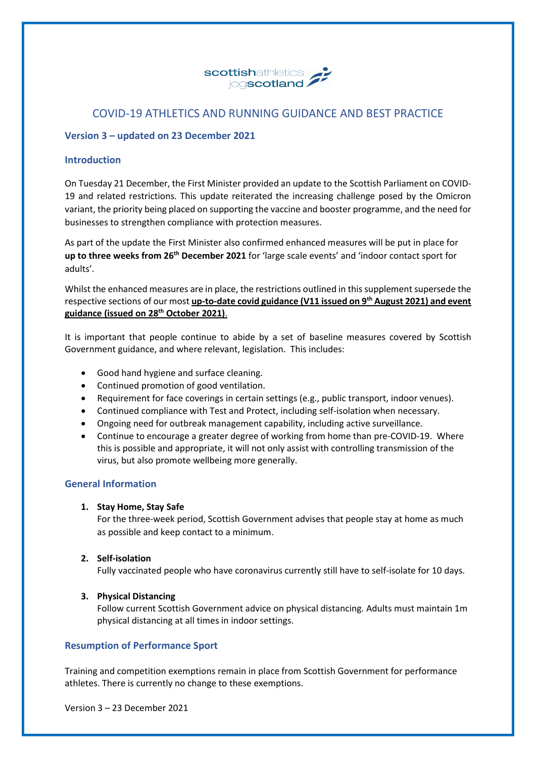

# COVID-19 ATHLETICS AND RUNNING GUIDANCE AND BEST PRACTICE

## **Version 3 – updated on 23 December 2021**

## **Introduction**

On Tuesday 21 December, the First Minister provided an update to the Scottish Parliament on COVID-19 and related restrictions. This update reiterated the increasing challenge posed by the Omicron variant, the priority being placed on supporting the vaccine and booster programme, and the need for businesses to strengthen compliance with protection measures.

As part of the update the First Minister also confirmed enhanced measures will be put in place for **up to three weeks from 26th December 2021** for 'large scale events' and 'indoor contact sport for adults'.

Whilst the enhanced measures are in place, the restrictions outlined in this supplement supersede the respective sections of our most **[up-to-date covid guidance \(V11 issued on 9](https://www.scottishathletics.org.uk/clubs/club-support/coronavirus/)th August 2021) and event guidance (issued on 28th [October 2021\)](https://www.scottishathletics.org.uk/clubs/club-support/coronavirus/)**.

It is important that people continue to abide by a set of baseline measures covered by Scottish Government guidance, and where relevant, legislation. This includes:

- Good hand hygiene and surface cleaning.
- Continued promotion of good ventilation.
- Requirement for face coverings in certain settings (e.g., public transport, indoor venues).
- Continued compliance with Test and Protect, including self-isolation when necessary.
- Ongoing need for outbreak management capability, including active surveillance.
- Continue to encourage a greater degree of working from home than pre-COVID-19. Where this is possible and appropriate, it will not only assist with controlling transmission of the virus, but also promote wellbeing more generally.

## **General Information**

## **1. Stay Home, Stay Safe**

For the three-week period, Scottish Government advises that people stay at home as much as possible and keep contact to a minimum.

## **2. Self-isolation**

Fully vaccinated people who have coronavirus currently still have to self-isolate for 10 days.

## **3. Physical Distancing**

Follow current Scottish Government advice on physical distancing. Adults must maintain 1m physical distancing at all times in indoor settings.

## **Resumption of Performance Sport**

Training and competition exemptions remain in place from Scottish Government for performance athletes. There is currently no change to these exemptions.

Version 3 – 23 December 2021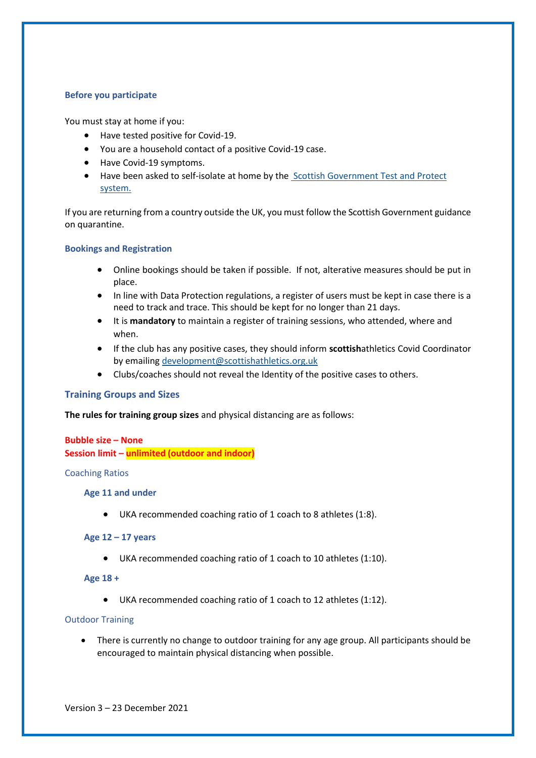### **Before you participate**

You must stay at home if you:

- Have tested positive for Covid-19.
- You are a household contact of a positive Covid-19 case.
- Have Covid-19 symptoms.
- Have been asked to self-isolate at home by the [Scottish Government Test and Protect](https://www.gov.scot/collections/coronavirus-covid-19-guidance/#testandprotect%3Agettingtestedandself-isolating)  [system.](https://www.gov.scot/collections/coronavirus-covid-19-guidance/#testandprotect%3Agettingtestedandself-isolating)

If you are returning from a country outside the UK, you must follow the Scottish Government guidance on quarantine.

#### **Bookings and Registration**

- Online bookings should be taken if possible. If not, alterative measures should be put in place.
- In line with Data Protection regulations, a register of users must be kept in case there is a need to track and trace. This should be kept for no longer than 21 days.
- It is **mandatory** to maintain a register of training sessions, who attended, where and when.
- If the club has any positive cases, they should inform **scottish**athletics Covid Coordinator by emailing [development@scottishathletics.org.uk](mailto:development@scottishathletics.org.uk)
- Clubs/coaches should not reveal the Identity of the positive cases to others.

## **Training Groups and Sizes**

**The rules for training group sizes** and physical distancing are as follows:

## **Bubble size – None**

**Session limit – unlimited (outdoor and indoor)**

#### Coaching Ratios

#### **Age 11 and under**

• UKA recommended coaching ratio of 1 coach to 8 athletes (1:8).

#### **Age 12 – 17 years**

• UKA recommended coaching ratio of 1 coach to 10 athletes (1:10).

#### **Age 18 +**

• UKA recommended coaching ratio of 1 coach to 12 athletes (1:12).

#### Outdoor Training

• There is currently no change to outdoor training for any age group. All participants should be encouraged to maintain physical distancing when possible.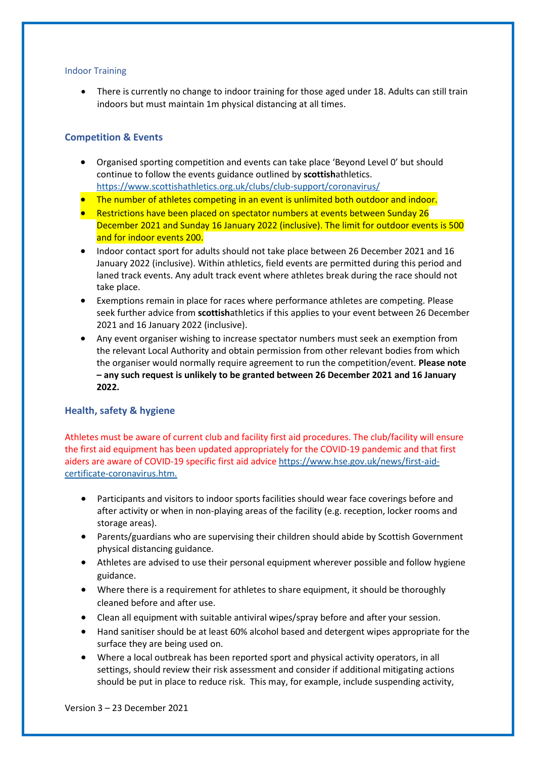#### Indoor Training

• There is currently no change to indoor training for those aged under 18. Adults can still train indoors but must maintain 1m physical distancing at all times.

## **Competition & Events**

- Organised sporting competition and events can take place 'Beyond Level 0' but should continue to follow the events guidance outlined by **scottish**athletics. <https://www.scottishathletics.org.uk/clubs/club-support/coronavirus/>
- **The number of athletes competing in an event is unlimited both outdoor and indoor.**
- Restrictions have been placed on spectator numbers at events between Sunday 26 December 2021 and Sunday 16 January 2022 (inclusive). The limit for outdoor events is 500 and for indoor events 200.
- Indoor contact sport for adults should not take place between 26 December 2021 and 16 January 2022 (inclusive). Within athletics, field events are permitted during this period and laned track events. Any adult track event where athletes break during the race should not take place.
- Exemptions remain in place for races where performance athletes are competing. Please seek further advice from **scottish**athletics if this applies to your event between 26 December 2021 and 16 January 2022 (inclusive).
- Any event organiser wishing to increase spectator numbers must seek an exemption from the relevant Local Authority and obtain permission from other relevant bodies from which the organiser would normally require agreement to run the competition/event. **Please note – any such request is unlikely to be granted between 26 December 2021 and 16 January 2022.**

## **Health, safety & hygiene**

Athletes must be aware of current club and facility first aid procedures. The club/facility will ensure the first aid equipment has been updated appropriately for the COVID-19 pandemic and that first aiders are aware of COVID-19 specific first aid advic[e https://www.hse.gov.uk/news/first-aid](https://www.hse.gov.uk/news/first-aid-certificate-coronavirus.htm)[certificate-coronavirus.htm.](https://www.hse.gov.uk/news/first-aid-certificate-coronavirus.htm)

- Participants and visitors to indoor sports facilities should wear face coverings before and after activity or when in non-playing areas of the facility (e.g. reception, locker rooms and storage areas).
- Parents/guardians who are supervising their children should abide by Scottish Government physical distancing guidance.
- Athletes are advised to use their personal equipment wherever possible and follow hygiene guidance.
- Where there is a requirement for athletes to share equipment, it should be thoroughly cleaned before and after use.
- Clean all equipment with suitable antiviral wipes/spray before and after your session.
- Hand sanitiser should be at least 60% alcohol based and detergent wipes appropriate for the surface they are being used on.
- Where a local outbreak has been reported sport and physical activity operators, in all settings, should review their risk assessment and consider if additional mitigating actions should be put in place to reduce risk. This may, for example, include suspending activity,

Version 3 – 23 December 2021